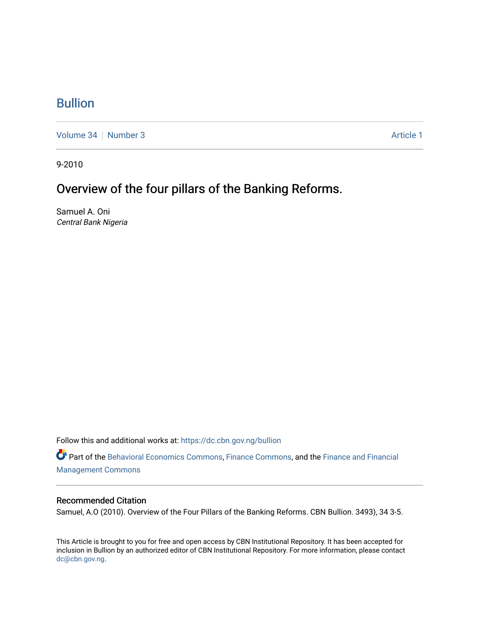## [Bullion](https://dc.cbn.gov.ng/bullion)

[Volume 34](https://dc.cbn.gov.ng/bullion/vol34) | [Number 3](https://dc.cbn.gov.ng/bullion/vol34/iss3) Article 1

9-2010

# Overview of the four pillars of the Banking Reforms.

Samuel A. Oni Central Bank Nigeria

Follow this and additional works at: [https://dc.cbn.gov.ng/bullion](https://dc.cbn.gov.ng/bullion?utm_source=dc.cbn.gov.ng%2Fbullion%2Fvol34%2Fiss3%2F1&utm_medium=PDF&utm_campaign=PDFCoverPages) 

Part of the [Behavioral Economics Commons](http://network.bepress.com/hgg/discipline/341?utm_source=dc.cbn.gov.ng%2Fbullion%2Fvol34%2Fiss3%2F1&utm_medium=PDF&utm_campaign=PDFCoverPages), [Finance Commons](http://network.bepress.com/hgg/discipline/345?utm_source=dc.cbn.gov.ng%2Fbullion%2Fvol34%2Fiss3%2F1&utm_medium=PDF&utm_campaign=PDFCoverPages), and the Finance and Financial [Management Commons](http://network.bepress.com/hgg/discipline/631?utm_source=dc.cbn.gov.ng%2Fbullion%2Fvol34%2Fiss3%2F1&utm_medium=PDF&utm_campaign=PDFCoverPages)

#### Recommended Citation

Samuel, A.O (2010). Overview of the Four Pillars of the Banking Reforms. CBN Bullion. 3493), 34 3-5.

This Article is brought to you for free and open access by CBN Institutional Repository. It has been accepted for inclusion in Bullion by an authorized editor of CBN Institutional Repository. For more information, please contact [dc@cbn.gov.ng](mailto:dc@cbn.gov.ng).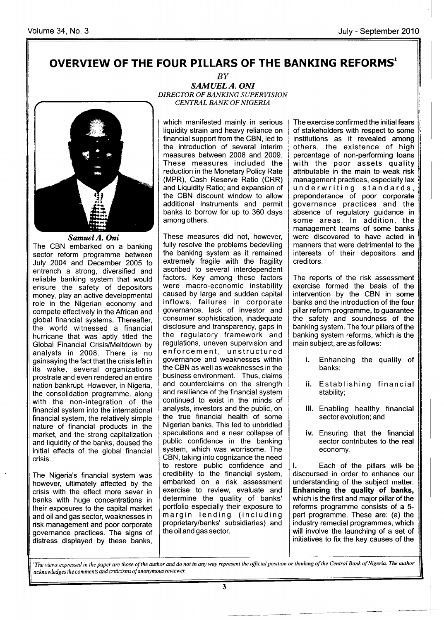### OVERVIEW OF THE FOUR PILLARS OF THE BANKING REFORMS'



SamuelA. Oni The CBN embarked on a banking sector reform programme between July 2004 and December 2005 to entrench a strong, diversified and reliable banking system that would ensure the safety of depositors money, play an active developmental role in the Nigerian economy and compete effectively in the African and global financial systems. Thereafter, the world witnessed a financial hurricane that was aptly titled the Global Financial Crisis/Meltdown by analysts in 2008. There is no gainsaying the fact that the crisis left in its wake, several organizations prostrate and even rendered an entire nation bankrupt. However, in Nigeria, the consolidation programme, along with the non-integration of the financial system into the international financial system, the relatively simple nature of financial products in the market, and the strong capitalization and liquidity of the banks, doused the initial effects of the global financial crisis.

The Nigeria's financial system was however, ultimately affected by the crisis with the effect more sever in banks with huge concentrations in their exposures to the capital market and oil and gas sector, weaknesses in risk management and poor corporate governance practices. The signs of distress displayed by these banks,

BY SAMUEL A. ONI DIRECTOR OF BANKING SUPERVISION CENTRAL BANKOF NIGERIA

which manifested mainly in serious liquidity strain and heavy reliance on financial support from the CBN, led to the introduction of several interim measures between 2008 and 2009. These measures included the reduction in the Monetary Policy Rate (MPR), Cash Reserve Ratio (CRR) and Liquidity Ratio; and expansion of the CBN discount window to allow additional instruments and permit banks to borrow for up to 360 days among others.

These measures did not, however, fully resolve the problems bedeviling the banking system as it remained extremely fragile with the fragility ascribed to several interdependent factors. Key among these factors were macro-economic instability caused by large and sudden capital inflows, failures in corporate governance, lack of investor and consumer sophistication, inadequate disclosure and transparency, gaps in the regulatory framework and regulations, uneven supervision and enforcement, unstructured governance and weaknesses within the CBN as well as weaknesses in the business environment. Thus, claims and counterclaims on the strength and resilience of the financial system continued to exist in the minds of analysts, investors and the public, on the true financial health of some Nigerian banks. This led to unbridled speculations and a near collapse of public confidence in the banking system, which was worrisome. The CBN, taking into cognizance the need to restore public confidence and credibility to the financial system, embarked on a risk assessment exercise to review, evaluate and determine the quality of banks' portfolio especially their exposure to margin lending (including proprietary/banks' subsidiaries) and the oiland gas sector.

The exercise confirmed the initial fears of stakeholders with respect to some institutions as it revealed among others, the existence of high percentage of non-performing loans with the poor assets quality attributable in the main to weak risk management practices, especially lax unanagement praeaeee, ee peelang nak<br>underwriting standards, preponderance of poor corporate governance practices and the absence of regulatory guidance in some areas. ln addition, the management teams of some banks were discovered to have acted in manners that were detrimental to the interests of their depositors and creditors.

The reports of the risk assessment exercise formed the basis of the intervention by the CBN in some banks and the introduction of the four pillar reform programme, to guarantee the safety and soundness of the banking system. The four pillars of the banking system reforms, which is the main subject, are as follows:

- Enhancing the quality of i. banks;
- ii. Establishing financial stability;
- iii. Enabling healthy financial sector evolution; and
- iv. Ensuring that the financial sector contributes to the real economy.

i. Each of the pillars will be discoursed in order to enhance our understanding of the subject matter. Enhancing the quality of banks, which is the first and major pillar of the reforms programme consists of a 5 part programme. These are: (a) the industry remedial programmes, which will involve the launching of a set of initiatives to fix the key causes of the

 ${}^{1}$ The views expressed in the paper are those of the author and do not in any way represent the official position or thinking of the Central Bank of Nigeria. The author acknowledges the comments and criticisms of anonymous reviewer.

3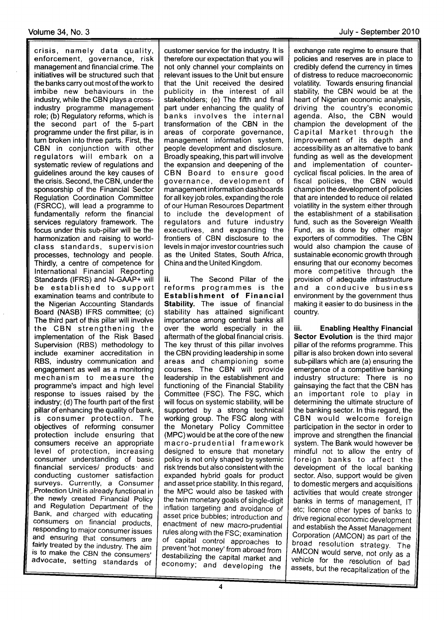crisis, namely data quality, enforcement, governance, risk management and financial crime. The initiatives will be structured such that the banks carry out most of the work to imbibe new behaviours in the industry, while the CBN plays a crossindustry programme management role; (b) Regulatory reforms, which is the second part of the 5-part programme under the first pillar, is in turn broken into three parts. First, the CBN in conjunction with other regulators will embark on <sup>a</sup> systematic review of regulations and guidelines around the key causes of the crisis. Second, the CBN, under the sponsorship of the Financial Sector Regulation Coordination Committee (FSRCC), will lead a programme to fundamentally reform the financial services regulatory framework. The focus under this sub-pillar will be the harmonization and raising to worldclass standards, supervision processes, technology and people. Thirdly, a centre of competence for lnternational Financial Reporting Standards (IFRS) and N-GAAP+ will be established to support examination teams and contribute to the Nigerian Accounting Standards Board (NASB) IFRS committee; (c) The third part of this pillar will involve the CBN strengthening the implementation of the Risk Based Supervision (RBS) methodology to include examiner accreditation in RBS, industry communication and engagement as well as a monitoring mechanism to measure the programme's impact and high level response to issues raised by the industry; (d) The fourth part of the first pillar of enhancing the quality of bank, is consumer protection. The objectives of reforming consumer protection include ensuring that consumers receive an appropriate level of protection, increasing consumer understanding of basic financial services/ products and conducting customer satisfaction surveys. Currently, a Consumer Protection Unit is already functional in the newly created Financial Policy and Regulation Department of the Bank, and charged with educating consumers on financial products,<br>responding to major consumer issues and ensuring that consumers are fairly treated by the industry. The aim is to make the CBN the consumers' advocate, setting standards of

customer service for the industry. lt is therefore our expectation that you will not only channel your complaints on relevant issues to the Unit but ensure that the Unit received the desired publicity in the interest of all stakeholders; (e) The fifth and final part under enhancing the quality of banks involves the internal transformation of the CBN in the areas of corporate governance, management information system, people development and disclosure. Broadly speaking, this partwill involve the expansion and deepening of the CBN Board to ensure good governance, development of management information dashboards forall key job roles, expanding the role of our Human Resources Department to include the development of regulators and future industry executives, and expanding the frontiers of CBN disclosure to the levels in major investor countries such as the United States, South Africa, China and the United Kingdom.

ii. The Second Pillar of the reforms programmes is the Establishment of Financial Stability. The issue of financial stability has attained significant importance among central banks all over the world especially in the aftermath of the global financial crisis. The key thrust of this pillar involves the CBN providing leadership in some areas and championing some courses. The CBN will provide leadership in the establishment and functioning of the Financial Stability Committee (FSC). The FSC, which will focus on systemic stability, will be supported by a strong technical working group. The FSC along with the Monetary Policy Committee (MPC) would be at the core of the new macro-prudential framework designed to ensure that monetary policy is not only shaped by systemic risk trends but also consistent with the expanded hybrid goals for product and asset price stability. ln this regard, the MPC would also be tasked with the twin monetary goals of single-digit inflation targeting and avoidance of asset price bubbles; introduction and enactment of new macro-prudential rules along with the FSC; examination of capital control approaches to prevent'hot money' from abroad from destabilizing the capital market and economy; and developing the

exchange rate regime to ensure that policies and reserves are in place to credibly defend the currency in times of distress to reduce macroeconomic volatility. Towards ensuring financial stability, the CBN would be at the heart of Nigerian economic analysis, driving the country's economic agenda. Also, the CBN would champion the development of the Capital Market through the improvement of its depth and accessibility as an alternative to bank funding as well as the development and implementation of countercyclical fiscal policies. ln the area of fiscal policies, the CBN would champion the development of policies that are intended to reduce oil related volatility in the system either through the establishment of a stabilisation fund, such as the Sovereign Wealth Fund, as is done by other major exporters of commodities. The CBN would also champion the cause of sustainable economic growth through ensuring that our economy becomes more competitive through the provision of adequate infrastructure and a conducive business environment by the government thus making it easier to do business in the country.

iii. Enabling Healthy Financial Sector Evolution is the third major pillar of the reforms programme. This pillar is also broken down into several sub-pillars which are (a) ensuring the emergence of a competitive banking industry structure: There is no gainsaying the fact that the CBN has an important role to play in determining the ultimate structure of the banking sector. ln this regard, the CBN would welcome foreign participation in the sector in order to improve and strengthen the financial system. The Bank would however be mindful not to allow the entry of foreign banks to affect the development of the local banking sector. Also, support would be given to domestic mergers and acquisitions activities that would create stronger banks in terms of management. IT etc; licence other types of banks to drive regional economic development and establish the Asset Management<br>Corporation (AMCON) as part of the broad resolution strategy. The AMCON would serve, not only as a vehicle for the resolution of bad assets, but the recapitalization of the